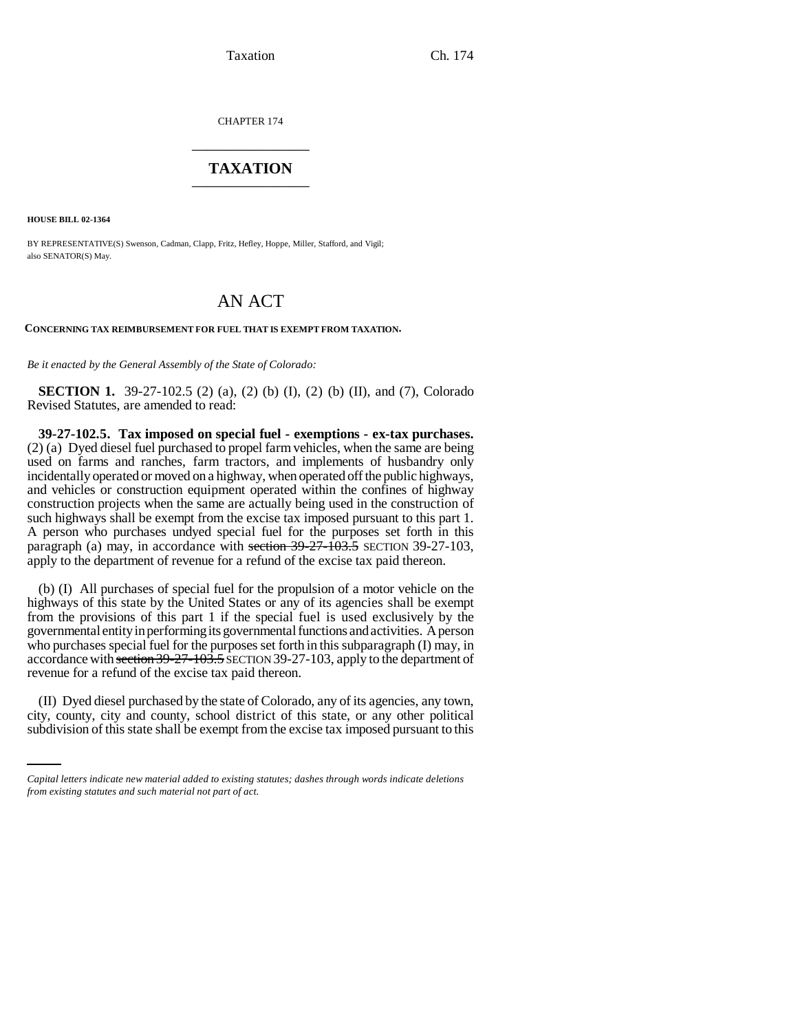CHAPTER 174 \_\_\_\_\_\_\_\_\_\_\_\_\_\_\_

## **TAXATION** \_\_\_\_\_\_\_\_\_\_\_\_\_\_\_

**HOUSE BILL 02-1364**

BY REPRESENTATIVE(S) Swenson, Cadman, Clapp, Fritz, Hefley, Hoppe, Miller, Stafford, and Vigil; also SENATOR(S) May.

# AN ACT

**CONCERNING TAX REIMBURSEMENT FOR FUEL THAT IS EXEMPT FROM TAXATION.**

*Be it enacted by the General Assembly of the State of Colorado:*

**SECTION 1.** 39-27-102.5 (2) (a), (2) (b) (I), (2) (b) (II), and (7), Colorado Revised Statutes, are amended to read:

**39-27-102.5. Tax imposed on special fuel - exemptions - ex-tax purchases.** (2) (a) Dyed diesel fuel purchased to propel farm vehicles, when the same are being used on farms and ranches, farm tractors, and implements of husbandry only incidentally operated or moved on a highway, when operated off the public highways, and vehicles or construction equipment operated within the confines of highway construction projects when the same are actually being used in the construction of such highways shall be exempt from the excise tax imposed pursuant to this part 1. A person who purchases undyed special fuel for the purposes set forth in this paragraph (a) may, in accordance with section  $39-27-103.5$  SECTION 39-27-103. apply to the department of revenue for a refund of the excise tax paid thereon.

(b) (I) All purchases of special fuel for the propulsion of a motor vehicle on the highways of this state by the United States or any of its agencies shall be exempt from the provisions of this part 1 if the special fuel is used exclusively by the governmental entity in performing its governmental functions and activities. A person who purchases special fuel for the purposes set forth in this subparagraph (I) may, in accordance with section 39-27-103.5 SECTION 39-27-103, apply to the department of revenue for a refund of the excise tax paid thereon.

(II) Dyed diesel purchased by the state of Colorado, any of its agencies, any town, city, county, city and county, school district of this state, or any other political subdivision of this state shall be exempt from the excise tax imposed pursuant to this

*Capital letters indicate new material added to existing statutes; dashes through words indicate deletions from existing statutes and such material not part of act.*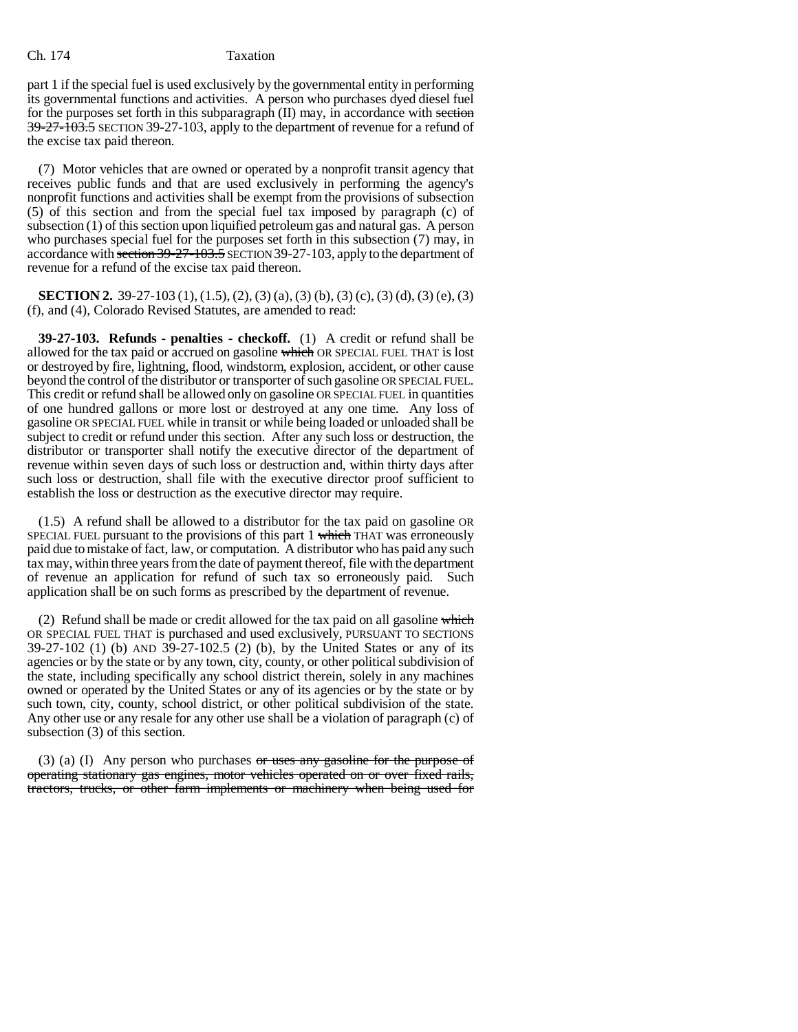### Ch. 174 Taxation

part 1 if the special fuel is used exclusively by the governmental entity in performing its governmental functions and activities. A person who purchases dyed diesel fuel for the purposes set forth in this subparagraph (II) may, in accordance with section  $39-27-\overline{103.5}$  SECTION 39-27-103, apply to the department of revenue for a refund of the excise tax paid thereon.

(7) Motor vehicles that are owned or operated by a nonprofit transit agency that receives public funds and that are used exclusively in performing the agency's nonprofit functions and activities shall be exempt from the provisions of subsection (5) of this section and from the special fuel tax imposed by paragraph (c) of subsection (1) of this section upon liquified petroleum gas and natural gas. A person who purchases special fuel for the purposes set forth in this subsection (7) may, in accordance with section 39-27-103.5 SECTION 39-27-103, apply to the department of revenue for a refund of the excise tax paid thereon.

**SECTION 2.** 39-27-103 (1), (1.5), (2), (3) (a), (3) (b), (3) (c), (3) (d), (3) (e), (3) (f), and (4), Colorado Revised Statutes, are amended to read:

**39-27-103. Refunds - penalties - checkoff.** (1) A credit or refund shall be allowed for the tax paid or accrued on gasoline which OR SPECIAL FUEL THAT is lost or destroyed by fire, lightning, flood, windstorm, explosion, accident, or other cause beyond the control of the distributor or transporter of such gasoline OR SPECIAL FUEL. This credit or refund shall be allowed only on gasoline OR SPECIAL FUEL in quantities of one hundred gallons or more lost or destroyed at any one time. Any loss of gasoline OR SPECIAL FUEL while in transit or while being loaded or unloaded shall be subject to credit or refund under this section. After any such loss or destruction, the distributor or transporter shall notify the executive director of the department of revenue within seven days of such loss or destruction and, within thirty days after such loss or destruction, shall file with the executive director proof sufficient to establish the loss or destruction as the executive director may require.

(1.5) A refund shall be allowed to a distributor for the tax paid on gasoline OR SPECIAL FUEL pursuant to the provisions of this part 1 which THAT was erroneously paid due to mistake of fact, law, or computation. A distributor who has paid any such tax may, within three years from the date of payment thereof, file with the department of revenue an application for refund of such tax so erroneously paid. Such application shall be on such forms as prescribed by the department of revenue.

(2) Refund shall be made or credit allowed for the tax paid on all gasoline which OR SPECIAL FUEL THAT is purchased and used exclusively, PURSUANT TO SECTIONS 39-27-102 (1) (b) AND 39-27-102.5 (2) (b), by the United States or any of its agencies or by the state or by any town, city, county, or other political subdivision of the state, including specifically any school district therein, solely in any machines owned or operated by the United States or any of its agencies or by the state or by such town, city, county, school district, or other political subdivision of the state. Any other use or any resale for any other use shall be a violation of paragraph (c) of subsection (3) of this section.

(3) (a) (I) Any person who purchases  $or$  uses any gasoline for the purpose of operating stationary gas engines, motor vehicles operated on or over fixed rails, tractors, trucks, or other farm implements or machinery when being used for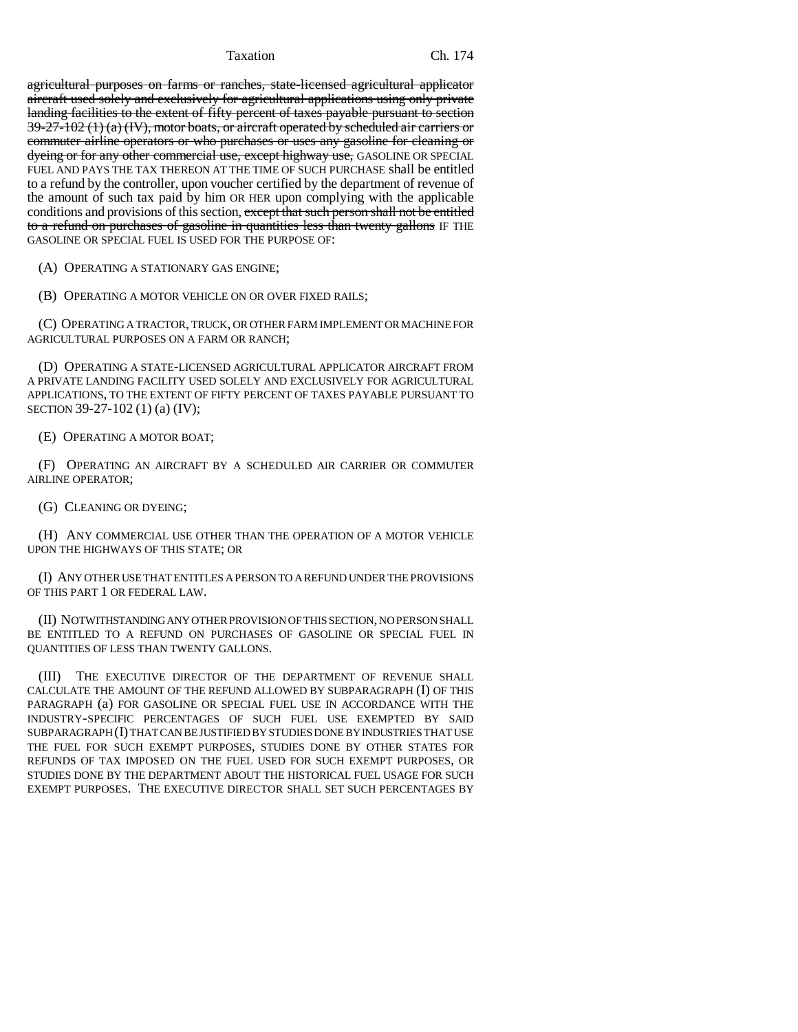agricultural purposes on farms or ranches, state-licensed agricultural applicator aircraft used solely and exclusively for agricultural applications using only private landing facilities to the extent of fifty percent of taxes payable pursuant to section  $39-27-102$  (1) (a) (IV), motor boats, or aircraft operated by scheduled air carriers or commuter airline operators or who purchases or uses any gasoline for cleaning or dyeing or for any other commercial use, except highway use, GASOLINE OR SPECIAL FUEL AND PAYS THE TAX THEREON AT THE TIME OF SUCH PURCHASE shall be entitled to a refund by the controller, upon voucher certified by the department of revenue of the amount of such tax paid by him OR HER upon complying with the applicable conditions and provisions of this section, except that such person shall not be entitled to a refund on purchases of gasoline in quantities less than twenty gallons IF THE GASOLINE OR SPECIAL FUEL IS USED FOR THE PURPOSE OF:

(A) OPERATING A STATIONARY GAS ENGINE;

(B) OPERATING A MOTOR VEHICLE ON OR OVER FIXED RAILS;

(C) OPERATING A TRACTOR, TRUCK, OR OTHER FARM IMPLEMENT OR MACHINE FOR AGRICULTURAL PURPOSES ON A FARM OR RANCH;

(D) OPERATING A STATE-LICENSED AGRICULTURAL APPLICATOR AIRCRAFT FROM A PRIVATE LANDING FACILITY USED SOLELY AND EXCLUSIVELY FOR AGRICULTURAL APPLICATIONS, TO THE EXTENT OF FIFTY PERCENT OF TAXES PAYABLE PURSUANT TO SECTION 39-27-102 (1) (a) (IV);

(E) OPERATING A MOTOR BOAT;

(F) OPERATING AN AIRCRAFT BY A SCHEDULED AIR CARRIER OR COMMUTER AIRLINE OPERATOR;

(G) CLEANING OR DYEING;

(H) ANY COMMERCIAL USE OTHER THAN THE OPERATION OF A MOTOR VEHICLE UPON THE HIGHWAYS OF THIS STATE; OR

(I) ANY OTHER USE THAT ENTITLES A PERSON TO A REFUND UNDER THE PROVISIONS OF THIS PART 1 OR FEDERAL LAW.

(II) NOTWITHSTANDING ANY OTHER PROVISION OF THIS SECTION, NO PERSON SHALL BE ENTITLED TO A REFUND ON PURCHASES OF GASOLINE OR SPECIAL FUEL IN QUANTITIES OF LESS THAN TWENTY GALLONS.

(III) THE EXECUTIVE DIRECTOR OF THE DEPARTMENT OF REVENUE SHALL CALCULATE THE AMOUNT OF THE REFUND ALLOWED BY SUBPARAGRAPH (I) OF THIS PARAGRAPH (a) FOR GASOLINE OR SPECIAL FUEL USE IN ACCORDANCE WITH THE INDUSTRY-SPECIFIC PERCENTAGES OF SUCH FUEL USE EXEMPTED BY SAID SUBPARAGRAPH (I) THAT CAN BE JUSTIFIED BY STUDIES DONE BY INDUSTRIES THAT USE THE FUEL FOR SUCH EXEMPT PURPOSES, STUDIES DONE BY OTHER STATES FOR REFUNDS OF TAX IMPOSED ON THE FUEL USED FOR SUCH EXEMPT PURPOSES, OR STUDIES DONE BY THE DEPARTMENT ABOUT THE HISTORICAL FUEL USAGE FOR SUCH EXEMPT PURPOSES. THE EXECUTIVE DIRECTOR SHALL SET SUCH PERCENTAGES BY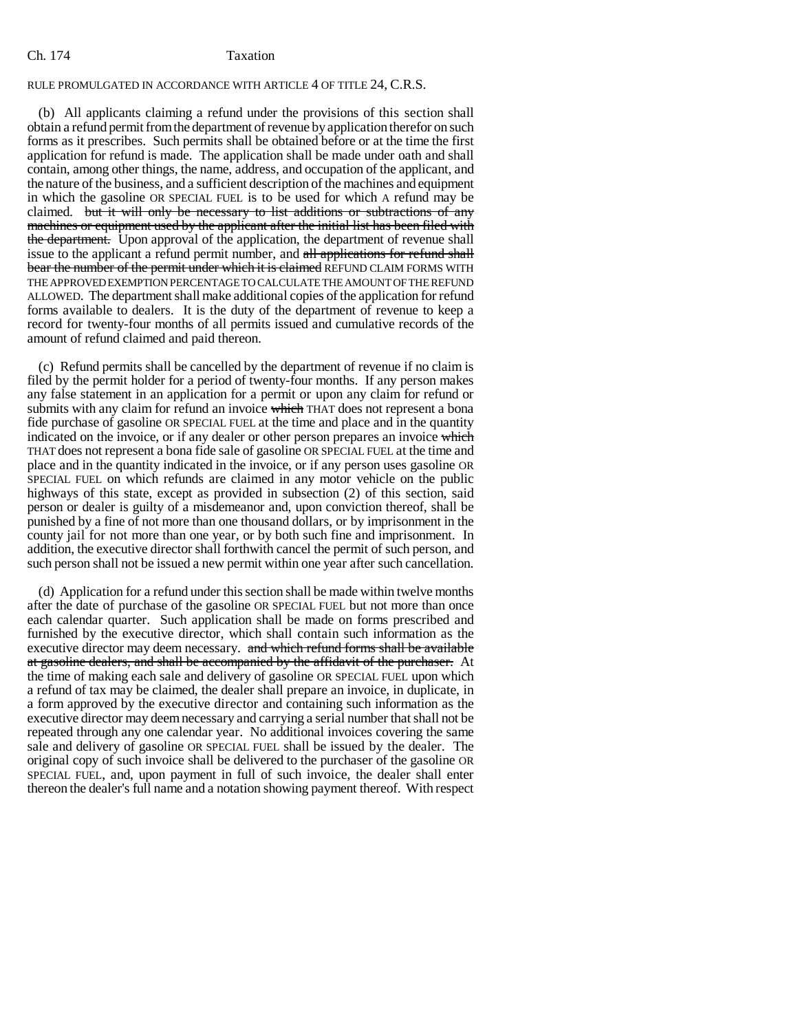## Ch. 174 Taxation

## RULE PROMULGATED IN ACCORDANCE WITH ARTICLE 4 OF TITLE 24, C.R.S.

(b) All applicants claiming a refund under the provisions of this section shall obtain a refund permit from the department of revenue by application therefor on such forms as it prescribes. Such permits shall be obtained before or at the time the first application for refund is made. The application shall be made under oath and shall contain, among other things, the name, address, and occupation of the applicant, and the nature of the business, and a sufficient description of the machines and equipment in which the gasoline OR SPECIAL FUEL is to be used for which A refund may be claimed. but it will only be necessary to list additions or subtractions of any machines or equipment used by the applicant after the initial list has been filed with the department. Upon approval of the application, the department of revenue shall issue to the applicant a refund permit number, and all applications for refund shall bear the number of the permit under which it is claimed REFUND CLAIM FORMS WITH THE APPROVED EXEMPTION PERCENTAGE TO CALCULATE THE AMOUNT OF THE REFUND ALLOWED. The department shall make additional copies of the application for refund forms available to dealers. It is the duty of the department of revenue to keep a record for twenty-four months of all permits issued and cumulative records of the amount of refund claimed and paid thereon.

(c) Refund permits shall be cancelled by the department of revenue if no claim is filed by the permit holder for a period of twenty-four months. If any person makes any false statement in an application for a permit or upon any claim for refund or submits with any claim for refund an invoice which THAT does not represent a bona fide purchase of gasoline OR SPECIAL FUEL at the time and place and in the quantity indicated on the invoice, or if any dealer or other person prepares an invoice which THAT does not represent a bona fide sale of gasoline OR SPECIAL FUEL at the time and place and in the quantity indicated in the invoice, or if any person uses gasoline OR SPECIAL FUEL on which refunds are claimed in any motor vehicle on the public highways of this state, except as provided in subsection (2) of this section, said person or dealer is guilty of a misdemeanor and, upon conviction thereof, shall be punished by a fine of not more than one thousand dollars, or by imprisonment in the county jail for not more than one year, or by both such fine and imprisonment. In addition, the executive director shall forthwith cancel the permit of such person, and such person shall not be issued a new permit within one year after such cancellation.

(d) Application for a refund under this section shall be made within twelve months after the date of purchase of the gasoline OR SPECIAL FUEL but not more than once each calendar quarter. Such application shall be made on forms prescribed and furnished by the executive director, which shall contain such information as the executive director may deem necessary. and which refund forms shall be available at gasoline dealers, and shall be accompanied by the affidavit of the purchaser. At the time of making each sale and delivery of gasoline OR SPECIAL FUEL upon which a refund of tax may be claimed, the dealer shall prepare an invoice, in duplicate, in a form approved by the executive director and containing such information as the executive director may deem necessary and carrying a serial number that shall not be repeated through any one calendar year. No additional invoices covering the same sale and delivery of gasoline OR SPECIAL FUEL shall be issued by the dealer. The original copy of such invoice shall be delivered to the purchaser of the gasoline OR SPECIAL FUEL, and, upon payment in full of such invoice, the dealer shall enter thereon the dealer's full name and a notation showing payment thereof. With respect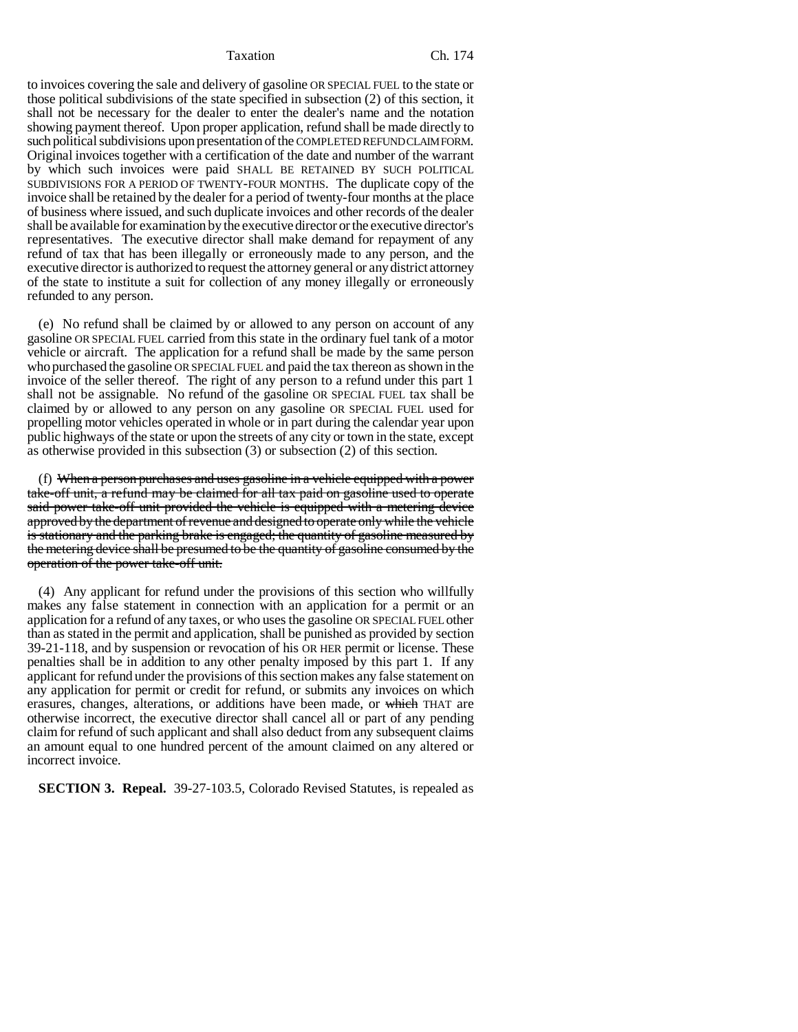to invoices covering the sale and delivery of gasoline OR SPECIAL FUEL to the state or those political subdivisions of the state specified in subsection (2) of this section, it shall not be necessary for the dealer to enter the dealer's name and the notation showing payment thereof. Upon proper application, refund shall be made directly to such political subdivisions upon presentation of the COMPLETED REFUND CLAIM FORM. Original invoices together with a certification of the date and number of the warrant by which such invoices were paid SHALL BE RETAINED BY SUCH POLITICAL SUBDIVISIONS FOR A PERIOD OF TWENTY-FOUR MONTHS. The duplicate copy of the invoice shall be retained by the dealer for a period of twenty-four months at the place of business where issued, and such duplicate invoices and other records of the dealer shall be available for examination by the executive director or the executive director's representatives. The executive director shall make demand for repayment of any refund of tax that has been illegally or erroneously made to any person, and the executive director is authorized to request the attorney general or any district attorney of the state to institute a suit for collection of any money illegally or erroneously refunded to any person.

(e) No refund shall be claimed by or allowed to any person on account of any gasoline OR SPECIAL FUEL carried from this state in the ordinary fuel tank of a motor vehicle or aircraft. The application for a refund shall be made by the same person who purchased the gasoline OR SPECIAL FUEL and paid the tax thereon as shown in the invoice of the seller thereof. The right of any person to a refund under this part 1 shall not be assignable. No refund of the gasoline OR SPECIAL FUEL tax shall be claimed by or allowed to any person on any gasoline OR SPECIAL FUEL used for propelling motor vehicles operated in whole or in part during the calendar year upon public highways of the state or upon the streets of any city or town in the state, except as otherwise provided in this subsection (3) or subsection (2) of this section.

(f) When a person purchases and uses gasoline in a vehicle equipped with a power take-off unit, a refund may be claimed for all tax paid on gasoline used to operate said power take-off unit provided the vehicle is equipped with a metering device approved by the department of revenue and designed to operate only while the vehicle is stationary and the parking brake is engaged; the quantity of gasoline measured by the metering device shall be presumed to be the quantity of gasoline consumed by the operation of the power take-off unit.

(4) Any applicant for refund under the provisions of this section who willfully makes any false statement in connection with an application for a permit or an application for a refund of any taxes, or who uses the gasoline OR SPECIAL FUEL other than as stated in the permit and application, shall be punished as provided by section 39-21-118, and by suspension or revocation of his OR HER permit or license. These penalties shall be in addition to any other penalty imposed by this part 1. If any applicant for refund under the provisions of this section makes any false statement on any application for permit or credit for refund, or submits any invoices on which erasures, changes, alterations, or additions have been made, or which THAT are otherwise incorrect, the executive director shall cancel all or part of any pending claim for refund of such applicant and shall also deduct from any subsequent claims an amount equal to one hundred percent of the amount claimed on any altered or incorrect invoice.

**SECTION 3. Repeal.** 39-27-103.5, Colorado Revised Statutes, is repealed as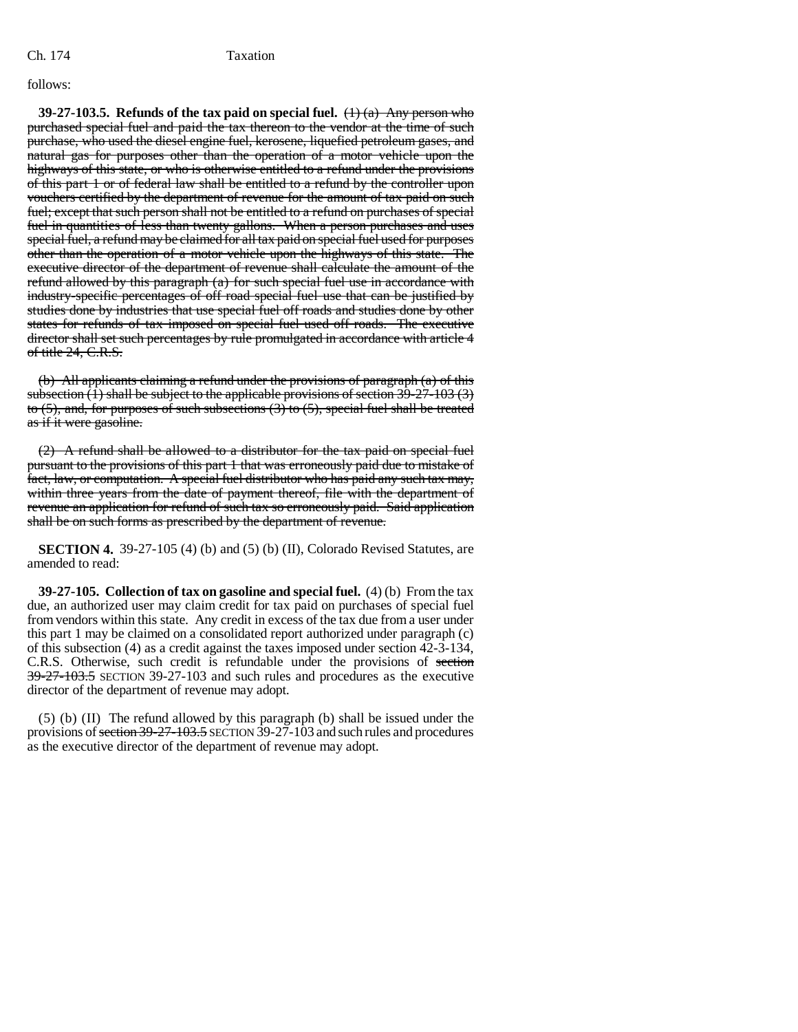### follows:

**39-27-103.5. Refunds of the tax paid on special fuel.**  $(\pm)$  (a) Any person who purchased special fuel and paid the tax thereon to the vendor at the time of such purchase, who used the diesel engine fuel, kerosene, liquefied petroleum gases, and natural gas for purposes other than the operation of a motor vehicle upon the highways of this state, or who is otherwise entitled to a refund under the provisions of this part 1 or of federal law shall be entitled to a refund by the controller upon vouchers certified by the department of revenue for the amount of tax paid on such fuel; except that such person shall not be entitled to a refund on purchases of special fuel in quantities of less than twenty gallons. When a person purchases and uses special fuel, a refund may be claimed for all tax paid on special fuel used for purposes other than the operation of a motor vehicle upon the highways of this state. The executive director of the department of revenue shall calculate the amount of the refund allowed by this paragraph  $(a)$  for such special fuel use in accordance with industry-specific percentages of off road special fuel use that can be justified by studies done by industries that use special fuel off roads and studies done by other states for refunds of tax imposed on special fuel used off roads. The executive director shall set such percentages by rule promulgated in accordance with article 4 of title 24, C.R.S.

(b) All applicants claiming a refund under the provisions of paragraph (a) of this subsection  $(1)$  shall be subject to the applicable provisions of section  $39-27-103$   $(3)$ to  $(5)$ , and, for purposes of such subsections  $(3)$  to  $(5)$ , special fuel shall be treated as if it were gasoline.

(2) A refund shall be allowed to a distributor for the tax paid on special fuel pursuant to the provisions of this part 1 that was erroneously paid due to mistake of fact, law, or computation. A special fuel distributor who has paid any such tax may, within three years from the date of payment thereof, file with the department of revenue an application for refund of such tax so erroneously paid. Said application shall be on such forms as prescribed by the department of revenue.

**SECTION 4.** 39-27-105 (4) (b) and (5) (b) (II), Colorado Revised Statutes, are amended to read:

**39-27-105. Collection of tax on gasoline and special fuel.** (4) (b) From the tax due, an authorized user may claim credit for tax paid on purchases of special fuel from vendors within this state. Any credit in excess of the tax due from a user under this part 1 may be claimed on a consolidated report authorized under paragraph (c) of this subsection (4) as a credit against the taxes imposed under section 42-3-134, C.R.S. Otherwise, such credit is refundable under the provisions of section 39-27-103.5 SECTION 39-27-103 and such rules and procedures as the executive director of the department of revenue may adopt.

(5) (b) (II) The refund allowed by this paragraph (b) shall be issued under the provisions of section 39-27-103.5 SECTION 39-27-103 and such rules and procedures as the executive director of the department of revenue may adopt.